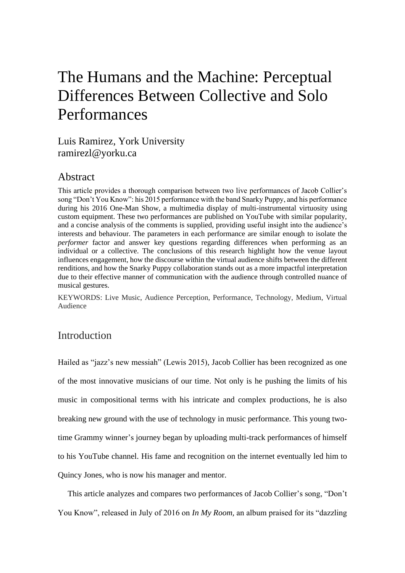## The Humans and the Machine: Perceptual Differences Between Collective and Solo Performances

Luis Ramirez, York University ramirezl@yorku.ca

## Abstract

This article provides a thorough comparison between two live performances of Jacob Collier's song "Don't You Know": his 2015 performance with the band Snarky Puppy, and his performance during his 2016 One-Man Show, a multimedia display of multi-instrumental virtuosity using custom equipment. These two performances are published on YouTube with similar popularity, and a concise analysis of the comments is supplied, providing useful insight into the audience's interests and behaviour. The parameters in each performance are similar enough to isolate the *performer* factor and answer key questions regarding differences when performing as an individual or a collective. The conclusions of this research highlight how the venue layout influences engagement, how the discourse within the virtual audience shifts between the different renditions, and how the Snarky Puppy collaboration stands out as a more impactful interpretation due to their effective manner of communication with the audience through controlled nuance of musical gestures.

KEYWORDS: Live Music, Audience Perception, Performance, Technology, Medium, Virtual Audience

## Introduction

Hailed as "jazz's new messiah" (Lewis 2015), Jacob Collier has been recognized as one of the most innovative musicians of our time. Not only is he pushing the limits of his music in compositional terms with his intricate and complex productions, he is also breaking new ground with the use of technology in music performance. This young twotime Grammy winner's journey began by uploading multi-track performances of himself to his YouTube channel. His fame and recognition on the internet eventually led him to Quincy Jones, who is now his manager and mentor.

This article analyzes and compares two performances of Jacob Collier's song, "Don't You Know", released in July of 2016 on *In My Room,* an album praised for its "dazzling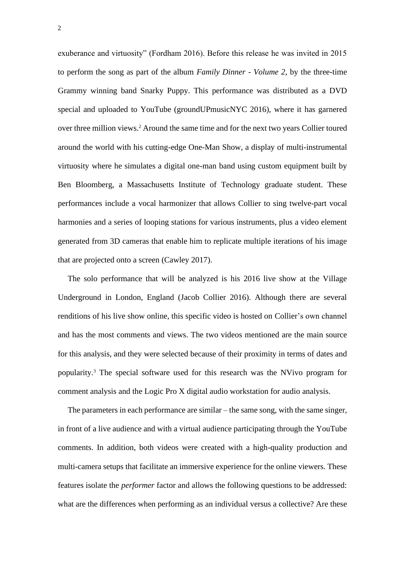exuberance and virtuosity" (Fordham 2016). Before this release he was invited in 2015 to perform the song as part of the album *Family Dinner - Volume 2*, by the three-time Grammy winning band Snarky Puppy. This performance was distributed as a DVD special and uploaded to YouTube (groundUPmusicNYC 2016), where it has garnered over three million views.<sup>2</sup> Around the same time and for the next two years Collier toured around the world with his cutting-edge One-Man Show, a display of multi-instrumental virtuosity where he simulates a digital one-man band using custom equipment built by Ben Bloomberg, a Massachusetts Institute of Technology graduate student. These performances include a vocal harmonizer that allows Collier to sing twelve-part vocal harmonies and a series of looping stations for various instruments, plus a video element generated from 3D cameras that enable him to replicate multiple iterations of his image that are projected onto a screen (Cawley 2017).

The solo performance that will be analyzed is his 2016 live show at the Village Underground in London, England (Jacob Collier 2016). Although there are several renditions of his live show online, this specific video is hosted on Collier's own channel and has the most comments and views. The two videos mentioned are the main source for this analysis, and they were selected because of their proximity in terms of dates and popularity.<sup>3</sup> The special software used for this research was the NVivo program for comment analysis and the Logic Pro X digital audio workstation for audio analysis.

The parameters in each performance are similar – the same song, with the same singer, in front of a live audience and with a virtual audience participating through the YouTube comments. In addition, both videos were created with a high-quality production and multi-camera setups that facilitate an immersive experience for the online viewers. These features isolate the *performer* factor and allows the following questions to be addressed: what are the differences when performing as an individual versus a collective? Are these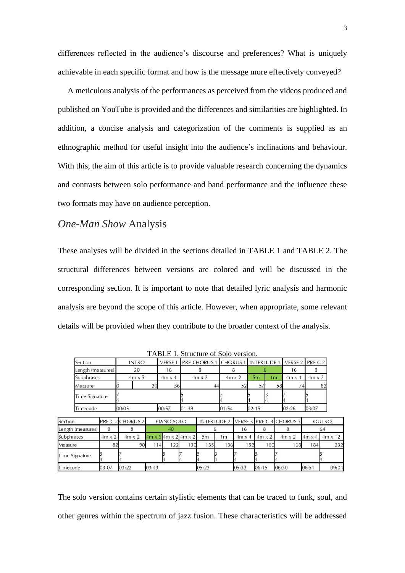differences reflected in the audience's discourse and preferences? What is uniquely achievable in each specific format and how is the message more effectively conveyed?

A meticulous analysis of the performances as perceived from the videos produced and published on YouTube is provided and the differences and similarities are highlighted. In addition, a concise analysis and categorization of the comments is supplied as an ethnographic method for useful insight into the audience's inclinations and behaviour. With this, the aim of this article is to provide valuable research concerning the dynamics and contrasts between solo performance and band performance and the influence these two formats may have on audience perception.

### *One-Man Show* Analysis

These analyses will be divided in the sections detailed in TABLE 1 and TABLE 2. The structural differences between versions are colored and will be discussed in the corresponding section. It is important to note that detailed lyric analysis and harmonic analysis are beyond the scope of this article. However, when appropriate, some relevant details will be provided when they contribute to the broader context of the analysis.

| Section           | <b>INTRO</b> |               |    | VERSE 1   PRE-CHORUS 1   CHORUS 1   INTERLUDE 1   VERSE 2   PRE-C 2 |               |       |    |               |               |  |
|-------------------|--------------|---------------|----|---------------------------------------------------------------------|---------------|-------|----|---------------|---------------|--|
| Length (measures) | 20           |               | 16 |                                                                     |               |       |    | 16            |               |  |
| Subphrases        |              | $4m \times 5$ |    | $4m \times 2$                                                       | $4m \times 2$ | 5m    | 1m | $4m \times 4$ | $4m \times 2$ |  |
| Measure           |              | 20            |    | 44                                                                  |               |       | 58 |               | 82            |  |
| Time Signature    |              |               |    |                                                                     |               |       |    |               |               |  |
| Timecode          | 00:05        | 00:57         |    | 01:39                                                               | 01:54         | 02:15 |    | 02:26         | 03:07         |  |

TABLE 1. Structure of Solo version.

| Section           |               | <b>PRE-C 2 CHORUS 2</b> | PIANO SOLO |     |                                           |       |     |               |               | INTERLUDE 2 VERSE 3 PRE-C 3 CHORUS 3 |               | OUTRO          |
|-------------------|---------------|-------------------------|------------|-----|-------------------------------------------|-------|-----|---------------|---------------|--------------------------------------|---------------|----------------|
| Length (measures) | 8             |                         | 40         |     |                                           |       | 16  |               |               | 64                                   |               |                |
| Subphrases        | $4m \times 2$ | $4m \times 2$           |            |     | $4m \times 6$ 4m $\times$ 2 4m $\times$ 2 | 5m    | 1m  | $4m \times 4$ | $4m \times 2$ | $4m \times 2$                        | $4m \times 4$ | $4m \times 12$ |
| Measure           |               | 90                      | 14         | 122 | 130                                       | 135   | 136 | 152           | 160           | 168                                  | 184           | 232            |
| Time Signature    |               |                         |            |     |                                           |       |     |               |               |                                      |               |                |
| Timecode          | 03:07         | 03:22                   | 03:43      |     |                                           | 05:23 |     | 05:33         | 06:15         | 06:30                                | 06:51         | 09:04          |

The solo version contains certain stylistic elements that can be traced to funk, soul, and other genres within the spectrum of jazz fusion. These characteristics will be addressed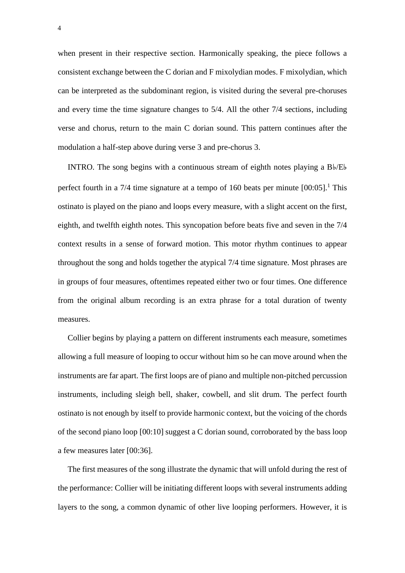when present in their respective section. Harmonically speaking, the piece follows a consistent exchange between the C dorian and F mixolydian modes. F mixolydian, which can be interpreted as the subdominant region, is visited during the several pre-choruses and every time the time signature changes to 5/4. All the other 7/4 sections, including verse and chorus, return to the main C dorian sound. This pattern continues after the modulation a half-step above during verse 3 and pre-chorus 3.

INTRO. The song begins with a continuous stream of eighth notes playing a B♭/E♭ perfect fourth in a 7/4 time signature at a tempo of 160 beats per minute [00:05].<sup>1</sup> This ostinato is played on the piano and loops every measure, with a slight accent on the first, eighth, and twelfth eighth notes. This syncopation before beats five and seven in the 7/4 context results in a sense of forward motion. This motor rhythm continues to appear throughout the song and holds together the atypical 7/4 time signature. Most phrases are in groups of four measures, oftentimes repeated either two or four times. One difference from the original album recording is an extra phrase for a total duration of twenty measures.

Collier begins by playing a pattern on different instruments each measure, sometimes allowing a full measure of looping to occur without him so he can move around when the instruments are far apart. The first loops are of piano and multiple non-pitched percussion instruments, including sleigh bell, shaker, cowbell, and slit drum. The perfect fourth ostinato is not enough by itself to provide harmonic context, but the voicing of the chords of the second piano loop [00:10] suggest a C dorian sound, corroborated by the bass loop a few measures later [00:36].

The first measures of the song illustrate the dynamic that will unfold during the rest of the performance: Collier will be initiating different loops with several instruments adding layers to the song, a common dynamic of other live looping performers. However, it is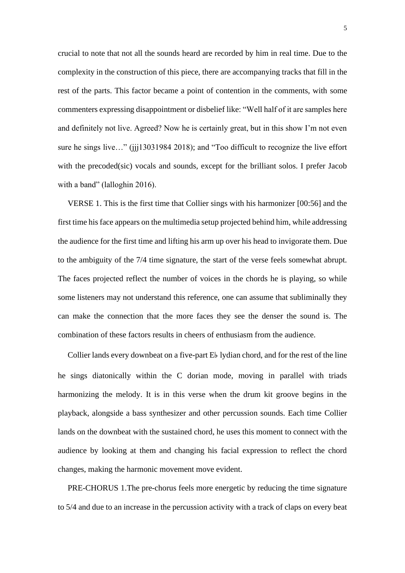crucial to note that not all the sounds heard are recorded by him in real time. Due to the complexity in the construction of this piece, there are accompanying tracks that fill in the rest of the parts. This factor became a point of contention in the comments, with some commenters expressing disappointment or disbelief like: "Well half of it are samples here and definitely not live. Agreed? Now he is certainly great, but in this show I'm not even sure he sings live…" (jjj13031984 2018); and "Too difficult to recognize the live effort with the precoded(sic) vocals and sounds, except for the brilliant solos. I prefer Jacob with a band" (lalloghin 2016).

VERSE 1. This is the first time that Collier sings with his harmonizer [00:56] and the first time his face appears on the multimedia setup projected behind him, while addressing the audience for the first time and lifting his arm up over his head to invigorate them. Due to the ambiguity of the 7/4 time signature, the start of the verse feels somewhat abrupt. The faces projected reflect the number of voices in the chords he is playing, so while some listeners may not understand this reference, one can assume that subliminally they can make the connection that the more faces they see the denser the sound is. The combination of these factors results in cheers of enthusiasm from the audience.

Collier lands every downbeat on a five-part E♭ lydian chord, and for the rest of the line he sings diatonically within the C dorian mode, moving in parallel with triads harmonizing the melody. It is in this verse when the drum kit groove begins in the playback, alongside a bass synthesizer and other percussion sounds. Each time Collier lands on the downbeat with the sustained chord, he uses this moment to connect with the audience by looking at them and changing his facial expression to reflect the chord changes, making the harmonic movement move evident.

PRE-CHORUS 1.The pre-chorus feels more energetic by reducing the time signature to 5/4 and due to an increase in the percussion activity with a track of claps on every beat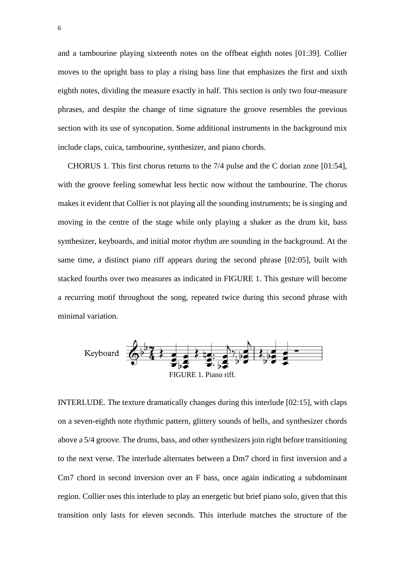and a tambourine playing sixteenth notes on the offbeat eighth notes [01:39]. Collier moves to the upright bass to play a rising bass line that emphasizes the first and sixth eighth notes, dividing the measure exactly in half. This section is only two four-measure phrases, and despite the change of time signature the groove resembles the previous section with its use of syncopation. Some additional instruments in the background mix include claps, cuica, tambourine, synthesizer, and piano chords.

CHORUS 1. This first chorus returns to the 7/4 pulse and the C dorian zone [01:54], with the groove feeling somewhat less hectic now without the tambourine. The chorus makes it evident that Collier is not playing all the sounding instruments; he is singing and moving in the centre of the stage while only playing a shaker as the drum kit, bass synthesizer, keyboards, and initial motor rhythm are sounding in the background. At the same time, a distinct piano riff appears during the second phrase [02:05], built with stacked fourths over two measures as indicated in FIGURE 1. This gesture will become a recurring motif throughout the song, repeated twice during this second phrase with minimal variation.



INTERLUDE. The texture dramatically changes during this interlude [02:15], with claps on a seven-eighth note rhythmic pattern, glittery sounds of bells, and synthesizer chords above a 5/4 groove. The drums, bass, and other synthesizers join right before transitioning to the next verse. The interlude alternates between a Dm7 chord in first inversion and a Cm7 chord in second inversion over an F bass, once again indicating a subdominant region. Collier uses this interlude to play an energetic but brief piano solo, given that this transition only lasts for eleven seconds. This interlude matches the structure of the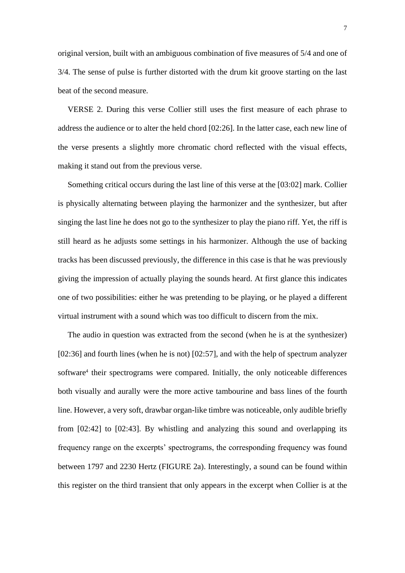original version, built with an ambiguous combination of five measures of 5/4 and one of 3/4. The sense of pulse is further distorted with the drum kit groove starting on the last beat of the second measure.

VERSE 2. During this verse Collier still uses the first measure of each phrase to address the audience or to alter the held chord [02:26]. In the latter case, each new line of the verse presents a slightly more chromatic chord reflected with the visual effects, making it stand out from the previous verse.

Something critical occurs during the last line of this verse at the [03:02] mark. Collier is physically alternating between playing the harmonizer and the synthesizer, but after singing the last line he does not go to the synthesizer to play the piano riff. Yet, the riff is still heard as he adjusts some settings in his harmonizer. Although the use of backing tracks has been discussed previously, the difference in this case is that he was previously giving the impression of actually playing the sounds heard. At first glance this indicates one of two possibilities: either he was pretending to be playing, or he played a different virtual instrument with a sound which was too difficult to discern from the mix.

The audio in question was extracted from the second (when he is at the synthesizer) [02:36] and fourth lines (when he is not) [02:57], and with the help of spectrum analyzer software<sup>4</sup> their spectrograms were compared. Initially, the only noticeable differences both visually and aurally were the more active tambourine and bass lines of the fourth line. However, a very soft, drawbar organ-like timbre was noticeable, only audible briefly from [02:42] to [02:43]. By whistling and analyzing this sound and overlapping its frequency range on the excerpts' spectrograms, the corresponding frequency was found between 1797 and 2230 Hertz (FIGURE 2a). Interestingly, a sound can be found within this register on the third transient that only appears in the excerpt when Collier is at the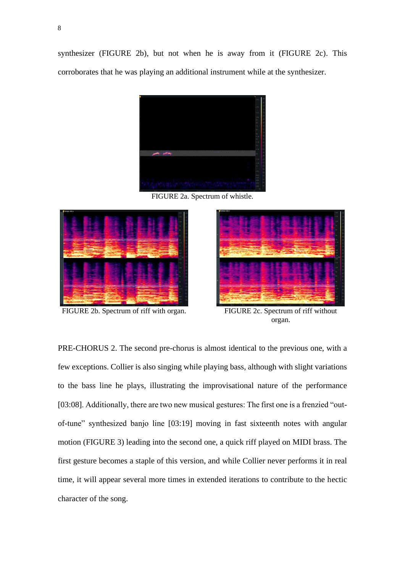synthesizer (FIGURE 2b), but not when he is away from it (FIGURE 2c). This corroborates that he was playing an additional instrument while at the synthesizer.



FIGURE 2a. Spectrum of whistle.



FIGURE 2b. Spectrum of riff with organ. FIGURE 2c. Spectrum of riff without



organ.

PRE-CHORUS 2. The second pre-chorus is almost identical to the previous one, with a few exceptions. Collier is also singing while playing bass, although with slight variations to the bass line he plays, illustrating the improvisational nature of the performance [03:08]. Additionally, there are two new musical gestures: The first one is a frenzied "outof-tune" synthesized banjo line [03:19] moving in fast sixteenth notes with angular motion (FIGURE 3) leading into the second one, a quick riff played on MIDI brass. The first gesture becomes a staple of this version, and while Collier never performs it in real time, it will appear several more times in extended iterations to contribute to the hectic character of the song.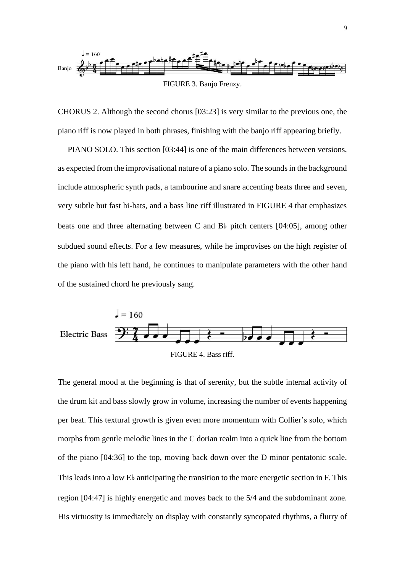

CHORUS 2. Although the second chorus [03:23] is very similar to the previous one, the piano riff is now played in both phrases, finishing with the banjo riff appearing briefly.

PIANO SOLO. This section [03:44] is one of the main differences between versions, as expected from the improvisational nature of a piano solo. The sounds in the background include atmospheric synth pads, a tambourine and snare accenting beats three and seven, very subtle but fast hi-hats, and a bass line riff illustrated in FIGURE 4 that emphasizes beats one and three alternating between C and B♭ pitch centers [04:05], among other subdued sound effects. For a few measures, while he improvises on the high register of the piano with his left hand, he continues to manipulate parameters with the other hand of the sustained chord he previously sang.



The general mood at the beginning is that of serenity, but the subtle internal activity of the drum kit and bass slowly grow in volume, increasing the number of events happening per beat. This textural growth is given even more momentum with Collier's solo, which morphs from gentle melodic lines in the C dorian realm into a quick line from the bottom of the piano [04:36] to the top, moving back down over the D minor pentatonic scale. This leads into a low E♭ anticipating the transition to the more energetic section in F. This region [04:47] is highly energetic and moves back to the 5/4 and the subdominant zone. His virtuosity is immediately on display with constantly syncopated rhythms, a flurry of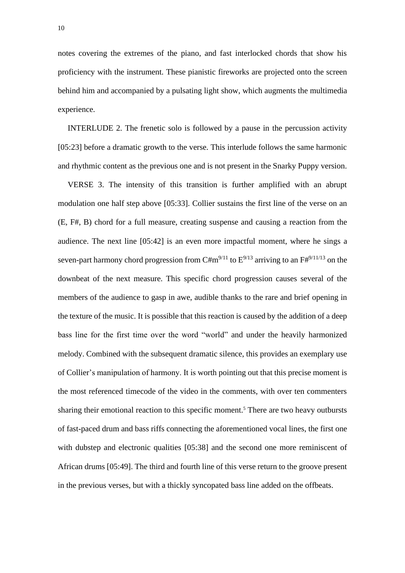notes covering the extremes of the piano, and fast interlocked chords that show his proficiency with the instrument. These pianistic fireworks are projected onto the screen behind him and accompanied by a pulsating light show, which augments the multimedia experience.

INTERLUDE 2. The frenetic solo is followed by a pause in the percussion activity [05:23] before a dramatic growth to the verse. This interlude follows the same harmonic and rhythmic content as the previous one and is not present in the Snarky Puppy version.

VERSE 3. The intensity of this transition is further amplified with an abrupt modulation one half step above [05:33]. Collier sustains the first line of the verse on an (E, F#, B) chord for a full measure, creating suspense and causing a reaction from the audience. The next line [05:42] is an even more impactful moment, where he sings a seven-part harmony chord progression from C#m<sup>9/11</sup> to  $E^{9/13}$  arriving to an  $F#^{9/11/13}$  on the downbeat of the next measure. This specific chord progression causes several of the members of the audience to gasp in awe, audible thanks to the rare and brief opening in the texture of the music. It is possible that this reaction is caused by the addition of a deep bass line for the first time over the word "world" and under the heavily harmonized melody. Combined with the subsequent dramatic silence, this provides an exemplary use of Collier's manipulation of harmony. It is worth pointing out that this precise moment is the most referenced timecode of the video in the comments, with over ten commenters sharing their emotional reaction to this specific moment. <sup>5</sup> There are two heavy outbursts of fast-paced drum and bass riffs connecting the aforementioned vocal lines, the first one with dubstep and electronic qualities [05:38] and the second one more reminiscent of African drums [05:49]. The third and fourth line of this verse return to the groove present in the previous verses, but with a thickly syncopated bass line added on the offbeats.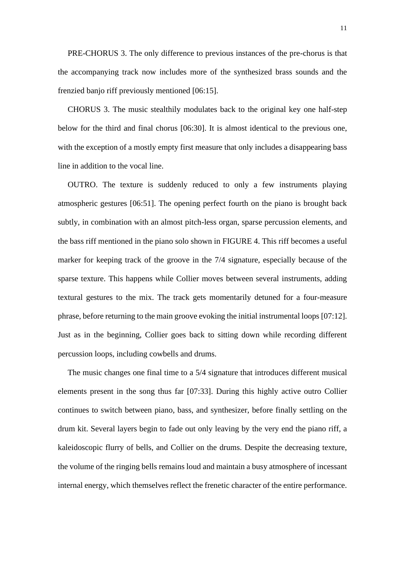PRE-CHORUS 3. The only difference to previous instances of the pre-chorus is that the accompanying track now includes more of the synthesized brass sounds and the frenzied banjo riff previously mentioned [06:15].

CHORUS 3. The music stealthily modulates back to the original key one half-step below for the third and final chorus [06:30]. It is almost identical to the previous one, with the exception of a mostly empty first measure that only includes a disappearing bass line in addition to the vocal line.

OUTRO. The texture is suddenly reduced to only a few instruments playing atmospheric gestures [06:51]. The opening perfect fourth on the piano is brought back subtly, in combination with an almost pitch-less organ, sparse percussion elements, and the bass riff mentioned in the piano solo shown in FIGURE 4. This riff becomes a useful marker for keeping track of the groove in the 7/4 signature, especially because of the sparse texture. This happens while Collier moves between several instruments, adding textural gestures to the mix. The track gets momentarily detuned for a four-measure phrase, before returning to the main groove evoking the initial instrumental loops [07:12]. Just as in the beginning, Collier goes back to sitting down while recording different percussion loops, including cowbells and drums.

The music changes one final time to a 5/4 signature that introduces different musical elements present in the song thus far [07:33]. During this highly active outro Collier continues to switch between piano, bass, and synthesizer, before finally settling on the drum kit. Several layers begin to fade out only leaving by the very end the piano riff, a kaleidoscopic flurry of bells, and Collier on the drums. Despite the decreasing texture, the volume of the ringing bells remains loud and maintain a busy atmosphere of incessant internal energy, which themselves reflect the frenetic character of the entire performance.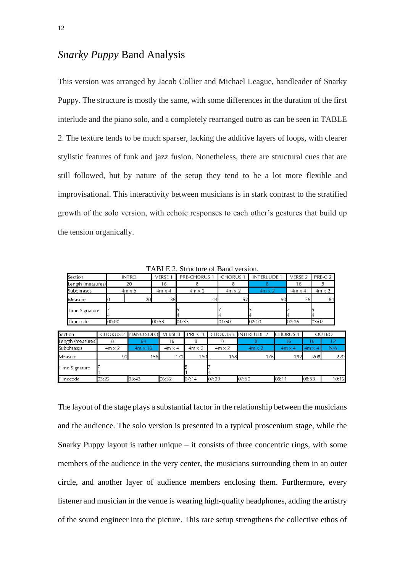## *Snarky Puppy* Band Analysis

This version was arranged by Jacob Collier and Michael League, bandleader of Snarky Puppy. The structure is mostly the same, with some differences in the duration of the first interlude and the piano solo, and a completely rearranged outro as can be seen in TABLE 2. The texture tends to be much sparser, lacking the additive layers of loops, with clearer stylistic features of funk and jazz fusion. Nonetheless, there are structural cues that are still followed, but by nature of the setup they tend to be a lot more flexible and improvisational. This interactivity between musicians is in stark contrast to the stratified growth of the solo version, with echoic responses to each other's gestures that build up the tension organically.

| Section           |                 | <b>INTRO</b>   | VERSE 1       | <b>PRE-CHORUS 1</b> |       |                 | <b>CHORUS 1</b> |                    | <b>INTERLUDE 1</b> |                 | VERSE 2       | PRE-C 2       |       |
|-------------------|-----------------|----------------|---------------|---------------------|-------|-----------------|-----------------|--------------------|--------------------|-----------------|---------------|---------------|-------|
| Length (measures) | 20              |                | 16<br>8       |                     |       | 8               |                 | 8                  |                    | 16              |               | 8             |       |
| Subphrases        |                 | $4m \times 5$  | $4m \times 4$ | $4m \times 2$       |       | $4m \times 2$   |                 | $4m \times 2$      |                    | $4m \times 4$   |               | $4m \times 2$ |       |
| Measure           |                 | 20             | 36            |                     | 44    |                 | 52              |                    | 60                 |                 | 76            |               | 84    |
| Time Signature    |                 |                |               |                     |       |                 |                 |                    |                    |                 |               |               |       |
| Timecode          | 00:00           | 00:53          | 01:35         |                     |       | 01:50           |                 | 02:10              |                    | 02:26           |               | 03:07         |       |
| Section           | <b>CHORUS 2</b> | PIANO SOLO     | VERSE 3       | PRE-C <sub>3</sub>  |       | <b>CHORUS 3</b> |                 | <b>INTERLUDE 2</b> |                    | <b>CHORUS 4</b> |               | <b>OUTRO</b>  |       |
| Length (measures) | 8               | 64             | 16            | 8                   |       | 8               |                 | 8                  |                    | 16              | 16            |               | 12    |
| Subphrases        | $4m \times 2$   | $4m \times 16$ | $4m \times 4$ | $4m \times 2$       |       | $4m \times 2$   |                 | $4m \times 2$      |                    | $4m \times 4$   | $4m \times 4$ |               | N/A   |
| Measure           | 92              | 156            | 172           | 160                 |       | 168             |                 | 176                |                    | 192             |               | 208           | 220   |
| Time Signature    |                 |                |               |                     |       |                 |                 |                    |                    |                 |               |               |       |
| Timecode          | 03:22           | 03:43          | 06:32         | 07:14               | 07:29 |                 | 07:50           |                    | 08:11              |                 | 08:53         |               | 10:12 |

TABLE 2. Structure of Band version.

The layout of the stage plays a substantial factor in the relationship between the musicians and the audience. The solo version is presented in a typical proscenium stage, while the Snarky Puppy layout is rather unique  $-$  it consists of three concentric rings, with some members of the audience in the very center, the musicians surrounding them in an outer circle, and another layer of audience members enclosing them. Furthermore, every listener and musician in the venue is wearing high-quality headphones, adding the artistry of the sound engineer into the picture. This rare setup strengthens the collective ethos of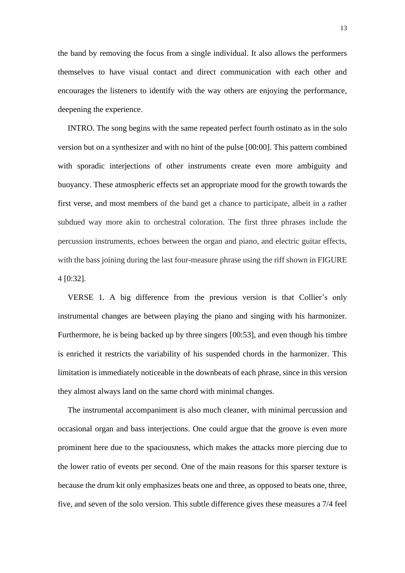the band by removing the focus from a single individual. It also allows the performers themselves to have visual contact and direct communication with each other and encourages the listeners to identify with the way others are enjoying the performance, deepening the experience.

INTRO. The song begins with the same repeated perfect fourth ostinato as in the solo version but on a synthesizer and with no hint of the pulse [00:00]. This pattern combined with sporadic interjections of other instruments create even more ambiguity and buoyancy. These atmospheric effects set an appropriate mood for the growth towards the first verse, and most members of the band get a chance to participate, albeit in a rather subdued way more akin to orchestral coloration. The first three phrases include the percussion instruments, echoes between the organ and piano, and electric guitar effects, with the bass joining during the last four-measure phrase using the riff shown in FIGURE 4 [0:32].

VERSE 1. A big difference from the previous version is that Collier's only instrumental changes are between playing the piano and singing with his harmonizer. Furthermore, he is being backed up by three singers [00:53], and even though his timbre is enriched it restricts the variability of his suspended chords in the harmonizer. This limitation is immediately noticeable in the downbeats of each phrase, since in this version they almost always land on the same chord with minimal changes.

The instrumental accompaniment is also much cleaner, with minimal percussion and occasional organ and bass interjections. One could argue that the groove is even more prominent here due to the spaciousness, which makes the attacks more piercing due to the lower ratio of events per second. One of the main reasons for this sparser texture is because the drum kit only emphasizes beats one and three, as opposed to beats one, three, five, and seven of the solo version. This subtle difference gives these measures a 7/4 feel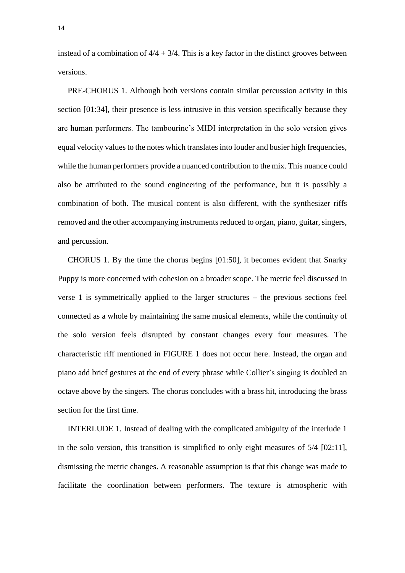instead of a combination of  $4/4 + 3/4$ . This is a key factor in the distinct grooves between versions.

PRE-CHORUS 1. Although both versions contain similar percussion activity in this section [01:34], their presence is less intrusive in this version specifically because they are human performers. The tambourine's MIDI interpretation in the solo version gives equal velocity values to the notes which translates into louder and busier high frequencies, while the human performers provide a nuanced contribution to the mix. This nuance could also be attributed to the sound engineering of the performance, but it is possibly a combination of both. The musical content is also different, with the synthesizer riffs removed and the other accompanying instruments reduced to organ, piano, guitar, singers, and percussion.

CHORUS 1. By the time the chorus begins [01:50], it becomes evident that Snarky Puppy is more concerned with cohesion on a broader scope. The metric feel discussed in verse 1 is symmetrically applied to the larger structures – the previous sections feel connected as a whole by maintaining the same musical elements, while the continuity of the solo version feels disrupted by constant changes every four measures. The characteristic riff mentioned in FIGURE 1 does not occur here. Instead, the organ and piano add brief gestures at the end of every phrase while Collier's singing is doubled an octave above by the singers. The chorus concludes with a brass hit, introducing the brass section for the first time.

INTERLUDE 1. Instead of dealing with the complicated ambiguity of the interlude 1 in the solo version, this transition is simplified to only eight measures of 5/4 [02:11], dismissing the metric changes. A reasonable assumption is that this change was made to facilitate the coordination between performers. The texture is atmospheric with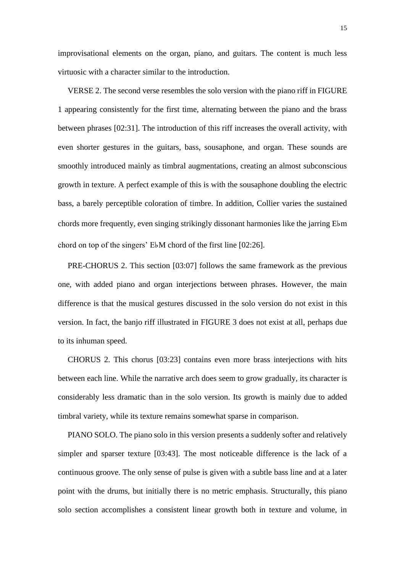improvisational elements on the organ, piano, and guitars. The content is much less virtuosic with a character similar to the introduction.

VERSE 2. The second verse resembles the solo version with the piano riff in FIGURE 1 appearing consistently for the first time, alternating between the piano and the brass between phrases [02:31]. The introduction of this riff increases the overall activity, with even shorter gestures in the guitars, bass, sousaphone, and organ. These sounds are smoothly introduced mainly as timbral augmentations, creating an almost subconscious growth in texture. A perfect example of this is with the sousaphone doubling the electric bass, a barely perceptible coloration of timbre. In addition, Collier varies the sustained chords more frequently, even singing strikingly dissonant harmonies like the jarring E♭m chord on top of the singers' E♭M chord of the first line [02:26].

PRE-CHORUS 2. This section [03:07] follows the same framework as the previous one, with added piano and organ interjections between phrases. However, the main difference is that the musical gestures discussed in the solo version do not exist in this version. In fact, the banjo riff illustrated in FIGURE 3 does not exist at all, perhaps due to its inhuman speed.

CHORUS 2. This chorus [03:23] contains even more brass interjections with hits between each line. While the narrative arch does seem to grow gradually, its character is considerably less dramatic than in the solo version. Its growth is mainly due to added timbral variety, while its texture remains somewhat sparse in comparison.

PIANO SOLO. The piano solo in this version presents a suddenly softer and relatively simpler and sparser texture [03:43]. The most noticeable difference is the lack of a continuous groove. The only sense of pulse is given with a subtle bass line and at a later point with the drums, but initially there is no metric emphasis. Structurally, this piano solo section accomplishes a consistent linear growth both in texture and volume, in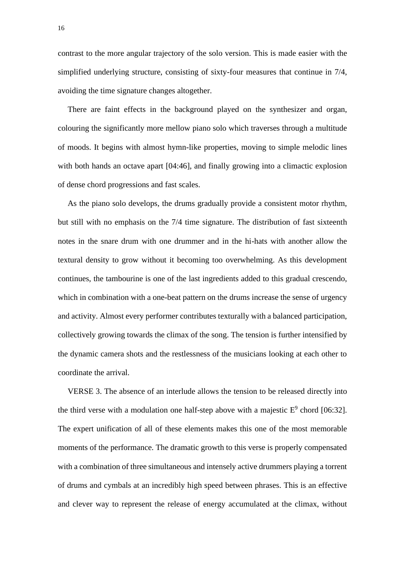contrast to the more angular trajectory of the solo version. This is made easier with the simplified underlying structure, consisting of sixty-four measures that continue in 7/4, avoiding the time signature changes altogether.

There are faint effects in the background played on the synthesizer and organ, colouring the significantly more mellow piano solo which traverses through a multitude of moods. It begins with almost hymn-like properties, moving to simple melodic lines with both hands an octave apart [04:46], and finally growing into a climactic explosion of dense chord progressions and fast scales.

As the piano solo develops, the drums gradually provide a consistent motor rhythm, but still with no emphasis on the 7/4 time signature. The distribution of fast sixteenth notes in the snare drum with one drummer and in the hi-hats with another allow the textural density to grow without it becoming too overwhelming. As this development continues, the tambourine is one of the last ingredients added to this gradual crescendo, which in combination with a one-beat pattern on the drums increase the sense of urgency and activity. Almost every performer contributes texturally with a balanced participation, collectively growing towards the climax of the song. The tension is further intensified by the dynamic camera shots and the restlessness of the musicians looking at each other to coordinate the arrival.

VERSE 3. The absence of an interlude allows the tension to be released directly into the third verse with a modulation one half-step above with a majestic  $E^9$  chord [06:32]. The expert unification of all of these elements makes this one of the most memorable moments of the performance. The dramatic growth to this verse is properly compensated with a combination of three simultaneous and intensely active drummers playing a torrent of drums and cymbals at an incredibly high speed between phrases. This is an effective and clever way to represent the release of energy accumulated at the climax, without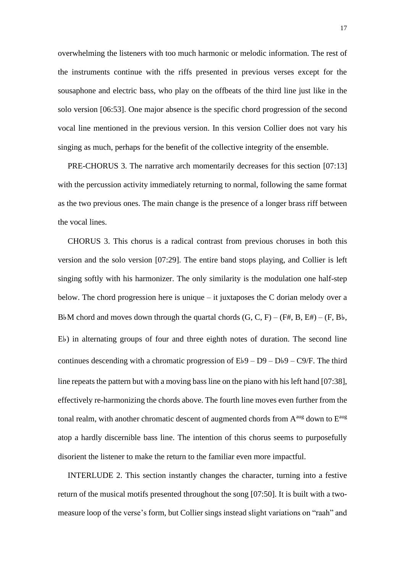overwhelming the listeners with too much harmonic or melodic information. The rest of the instruments continue with the riffs presented in previous verses except for the sousaphone and electric bass, who play on the offbeats of the third line just like in the solo version [06:53]. One major absence is the specific chord progression of the second vocal line mentioned in the previous version. In this version Collier does not vary his singing as much, perhaps for the benefit of the collective integrity of the ensemble.

PRE-CHORUS 3. The narrative arch momentarily decreases for this section [07:13] with the percussion activity immediately returning to normal, following the same format as the two previous ones. The main change is the presence of a longer brass riff between the vocal lines.

CHORUS 3. This chorus is a radical contrast from previous choruses in both this version and the solo version [07:29]. The entire band stops playing, and Collier is left singing softly with his harmonizer. The only similarity is the modulation one half-step below. The chord progression here is unique – it juxtaposes the C dorian melody over a B♭M chord and moves down through the quartal chords  $(G, C, F) - (F#, B, E#) - (F, B\flat,$ E♭) in alternating groups of four and three eighth notes of duration. The second line continues descending with a chromatic progression of  $Eb9 - D9 - Db9 - C9/F$ . The third line repeats the pattern but with a moving bass line on the piano with his left hand [07:38], effectively re-harmonizing the chords above. The fourth line moves even further from the tonal realm, with another chromatic descent of augmented chords from  $A^{aug}$  down to  $E^{aug}$ atop a hardly discernible bass line. The intention of this chorus seems to purposefully disorient the listener to make the return to the familiar even more impactful.

INTERLUDE 2. This section instantly changes the character, turning into a festive return of the musical motifs presented throughout the song [07:50]. It is built with a twomeasure loop of the verse's form, but Collier sings instead slight variations on "raah" and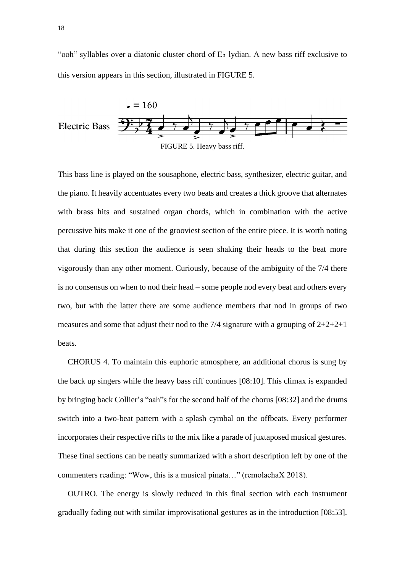"ooh" syllables over a diatonic cluster chord of E♭ lydian. A new bass riff exclusive to this version appears in this section, illustrated in FIGURE 5.



This bass line is played on the sousaphone, electric bass, synthesizer, electric guitar, and the piano. It heavily accentuates every two beats and creates a thick groove that alternates with brass hits and sustained organ chords, which in combination with the active percussive hits make it one of the grooviest section of the entire piece. It is worth noting that during this section the audience is seen shaking their heads to the beat more vigorously than any other moment. Curiously, because of the ambiguity of the 7/4 there is no consensus on when to nod their head – some people nod every beat and others every two, but with the latter there are some audience members that nod in groups of two measures and some that adjust their nod to the 7/4 signature with a grouping of  $2+2+2+1$ beats.

CHORUS 4. To maintain this euphoric atmosphere, an additional chorus is sung by the back up singers while the heavy bass riff continues [08:10]. This climax is expanded by bringing back Collier's "aah"s for the second half of the chorus [08:32] and the drums switch into a two-beat pattern with a splash cymbal on the offbeats. Every performer incorporates their respective riffs to the mix like a parade of juxtaposed musical gestures. These final sections can be neatly summarized with a short description left by one of the commenters reading: "Wow, this is a musical pinata…" (remolachaX 2018).

OUTRO. The energy is slowly reduced in this final section with each instrument gradually fading out with similar improvisational gestures as in the introduction [08:53].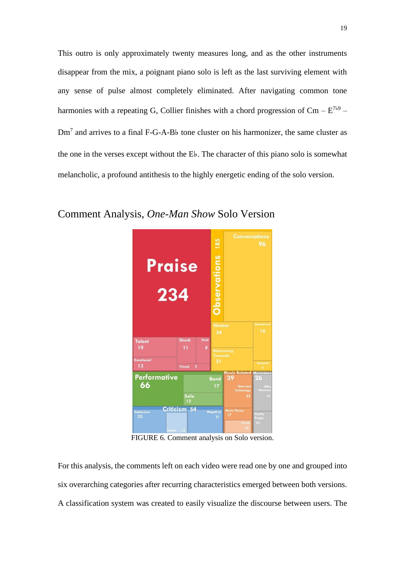This outro is only approximately twenty measures long, and as the other instruments disappear from the mix, a poignant piano solo is left as the last surviving element with any sense of pulse almost completely eliminated. After navigating common tone harmonies with a repeating G, Collier finishes with a chord progression of  $\text{Cm} - \text{E}^{7b9} -$ Dm<sup>7</sup> and arrives to a final F-G-A-B♭ tone cluster on his harmonizer, the same cluster as the one in the verses except without the E♭. The character of this piano solo is somewhat melancholic, a profound antithesis to the highly energetic ending of the solo version.



## Comment Analysis, *One-Man Show* Solo Version

FIGURE 6. Comment analysis on Solo version.

For this analysis, the comments left on each video were read one by one and grouped into six overarching categories after recurring characteristics emerged between both versions. A classification system was created to easily visualize the discourse between users. The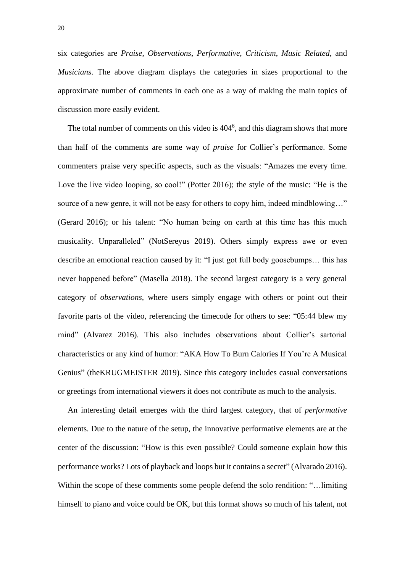six categories are *Praise*, *Observations*, *Performative*, *Criticism*, *Music Related*, and *Musicians*. The above diagram displays the categories in sizes proportional to the approximate number of comments in each one as a way of making the main topics of discussion more easily evident.

The total number of comments on this video is  $404<sup>6</sup>$ , and this diagram shows that more than half of the comments are some way of *praise* for Collier's performance. Some commenters praise very specific aspects, such as the visuals: "Amazes me every time. Love the live video looping, so cool!" (Potter 2016); the style of the music: "He is the source of a new genre, it will not be easy for others to copy him, indeed mindblowing..." (Gerard 2016); or his talent: "No human being on earth at this time has this much musicality. Unparalleled" (NotSereyus 2019). Others simply express awe or even describe an emotional reaction caused by it: "I just got full body goosebumps… this has never happened before" (Masella 2018). The second largest category is a very general category of *observations,* where users simply engage with others or point out their favorite parts of the video, referencing the timecode for others to see: "05:44 blew my mind" (Alvarez 2016). This also includes observations about Collier's sartorial characteristics or any kind of humor: "AKA How To Burn Calories If You're A Musical Genius" (theKRUGMEISTER 2019). Since this category includes casual conversations or greetings from international viewers it does not contribute as much to the analysis.

An interesting detail emerges with the third largest category, that of *performative*  elements. Due to the nature of the setup, the innovative performative elements are at the center of the discussion: "How is this even possible? Could someone explain how this performance works? Lots of playback and loops but it contains a secret" (Alvarado 2016). Within the scope of these comments some people defend the solo rendition: "…limiting himself to piano and voice could be OK, but this format shows so much of his talent, not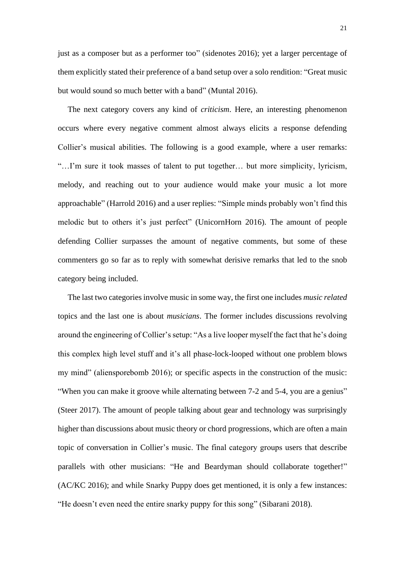just as a composer but as a performer too" (sidenotes 2016); yet a larger percentage of them explicitly stated their preference of a band setup over a solo rendition: "Great music but would sound so much better with a band" (Muntal 2016).

The next category covers any kind of *criticism*. Here, an interesting phenomenon occurs where every negative comment almost always elicits a response defending Collier's musical abilities. The following is a good example, where a user remarks: "…I'm sure it took masses of talent to put together… but more simplicity, lyricism, melody, and reaching out to your audience would make your music a lot more approachable" (Harrold 2016) and a user replies: "Simple minds probably won't find this melodic but to others it's just perfect" (UnicornHorn 2016). The amount of people defending Collier surpasses the amount of negative comments, but some of these commenters go so far as to reply with somewhat derisive remarks that led to the snob category being included.

The last two categories involve music in some way, the first one includes *music related* topics and the last one is about *musicians*. The former includes discussions revolving around the engineering of Collier's setup: "As a live looper myself the fact that he's doing this complex high level stuff and it's all phase-lock-looped without one problem blows my mind" (aliensporebomb 2016); or specific aspects in the construction of the music: "When you can make it groove while alternating between 7-2 and 5-4, you are a genius" (Steer 2017). The amount of people talking about gear and technology was surprisingly higher than discussions about music theory or chord progressions, which are often a main topic of conversation in Collier's music. The final category groups users that describe parallels with other musicians: "He and Beardyman should collaborate together!" (AC/KC 2016); and while Snarky Puppy does get mentioned, it is only a few instances: "He doesn't even need the entire snarky puppy for this song" (Sibarani 2018).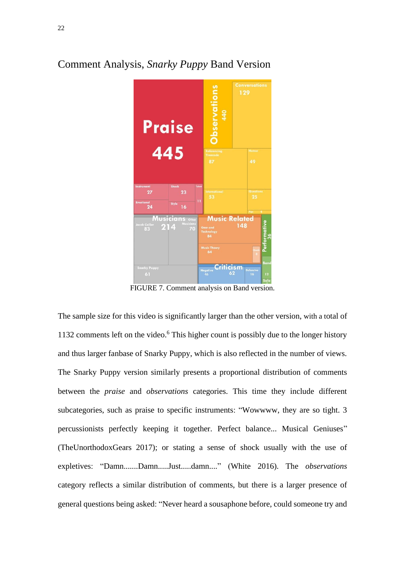# bservations 129 **Praise**  $2<sub>3</sub>$  $27$ 16 **Music Related**  $\frac{1}{2}$   $\frac{1}{2}$ ism nanky ruppy<br>61

## Comment Analysis, *Snarky Puppy* Band Version

FIGURE 7. Comment analysis on Band version.

The sample size for this video is significantly larger than the other version, with a total of 1132 comments left on the video. <sup>6</sup> This higher count is possibly due to the longer history and thus larger fanbase of Snarky Puppy, which is also reflected in the number of views. The Snarky Puppy version similarly presents a proportional distribution of comments between the *praise* and *observations* categories. This time they include different subcategories, such as praise to specific instruments: "Wowwww, they are so tight. 3 percussionists perfectly keeping it together. Perfect balance... Musical Geniuses" (TheUnorthodoxGears 2017); or stating a sense of shock usually with the use of expletives: "Damn.......Damn.....Just.....damn...." (White 2016). The *observations*  category reflects a similar distribution of comments, but there is a larger presence of general questions being asked: "Never heard a sousaphone before, could someone try and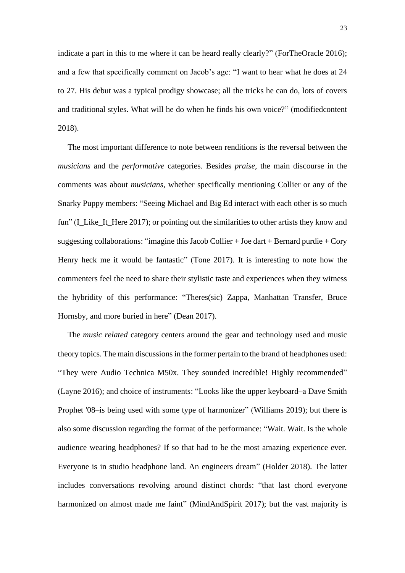indicate a part in this to me where it can be heard really clearly?" (ForTheOracle 2016); and a few that specifically comment on Jacob's age: "I want to hear what he does at 24 to 27. His debut was a typical prodigy showcase; all the tricks he can do, lots of covers and traditional styles. What will he do when he finds his own voice?" (modifiedcontent 2018).

The most important difference to note between renditions is the reversal between the *musicians* and the *performative* categories. Besides *praise*, the main discourse in the comments was about *musicians*, whether specifically mentioning Collier or any of the Snarky Puppy members: "Seeing Michael and Big Ed interact with each other is so much fun" (I\_Like\_It\_Here 2017); or pointing out the similarities to other artists they know and suggesting collaborations: "imagine this Jacob Collier  $+$  Joe dart  $+$  Bernard purdie  $+$  Cory Henry heck me it would be fantastic" (Tone 2017). It is interesting to note how the commenters feel the need to share their stylistic taste and experiences when they witness the hybridity of this performance: "Theres(sic) Zappa, Manhattan Transfer, Bruce Hornsby, and more buried in here" (Dean 2017).

The *music related* category centers around the gear and technology used and music theory topics. The main discussions in the former pertain to the brand of headphones used: "They were Audio Technica M50x. They sounded incredible! Highly recommended" (Layne 2016); and choice of instruments: "Looks like the upper keyboard–a Dave Smith Prophet '08–is being used with some type of harmonizer" (Williams 2019); but there is also some discussion regarding the format of the performance: "Wait. Wait. Is the whole audience wearing headphones? If so that had to be the most amazing experience ever. Everyone is in studio headphone land. An engineers dream" (Holder 2018). The latter includes conversations revolving around distinct chords: "that last chord everyone harmonized on almost made me faint" (MindAndSpirit 2017); but the vast majority is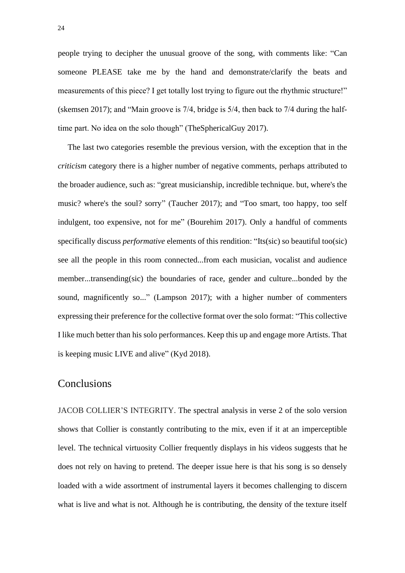people trying to decipher the unusual groove of the song, with comments like: "Can someone PLEASE take me by the hand and demonstrate/clarify the beats and measurements of this piece? I get totally lost trying to figure out the rhythmic structure!" (skemsen 2017); and "Main groove is 7/4, bridge is 5/4, then back to 7/4 during the halftime part. No idea on the solo though" (TheSphericalGuy 2017).

The last two categories resemble the previous version, with the exception that in the *criticism* category there is a higher number of negative comments, perhaps attributed to the broader audience, such as: "great musicianship, incredible technique. but, where's the music? where's the soul? sorry" (Taucher 2017); and "Too smart, too happy, too self indulgent, too expensive, not for me" (Bourehim 2017). Only a handful of comments specifically discuss *performative* elements of this rendition: "Its(sic) so beautiful too(sic) see all the people in this room connected...from each musician, vocalist and audience member...transending(sic) the boundaries of race, gender and culture...bonded by the sound, magnificently so..." (Lampson 2017); with a higher number of commenters expressing their preference for the collective format over the solo format: "This collective I like much better than his solo performances. Keep this up and engage more Artists. That is keeping music LIVE and alive" (Kyd 2018).

## **Conclusions**

JACOB COLLIER'S INTEGRITY. The spectral analysis in verse 2 of the solo version shows that Collier is constantly contributing to the mix, even if it at an imperceptible level. The technical virtuosity Collier frequently displays in his videos suggests that he does not rely on having to pretend. The deeper issue here is that his song is so densely loaded with a wide assortment of instrumental layers it becomes challenging to discern what is live and what is not. Although he is contributing, the density of the texture itself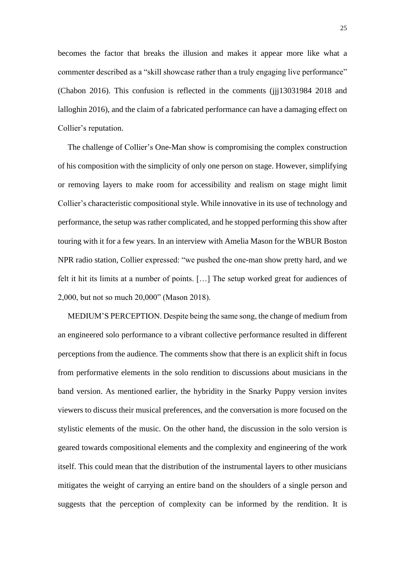becomes the factor that breaks the illusion and makes it appear more like what a commenter described as a "skill showcase rather than a truly engaging live performance" (Chabon 2016). This confusion is reflected in the comments (jjj13031984 2018 and lalloghin 2016), and the claim of a fabricated performance can have a damaging effect on Collier's reputation.

The challenge of Collier's One-Man show is compromising the complex construction of his composition with the simplicity of only one person on stage. However, simplifying or removing layers to make room for accessibility and realism on stage might limit Collier's characteristic compositional style. While innovative in its use of technology and performance, the setup was rather complicated, and he stopped performing this show after touring with it for a few years. In an interview with Amelia Mason for the WBUR Boston NPR radio station, Collier expressed: "we pushed the one-man show pretty hard, and we felt it hit its limits at a number of points. […] The setup worked great for audiences of 2,000, but not so much 20,000" (Mason 2018).

MEDIUM'S PERCEPTION. Despite being the same song, the change of medium from an engineered solo performance to a vibrant collective performance resulted in different perceptions from the audience. The comments show that there is an explicit shift in focus from performative elements in the solo rendition to discussions about musicians in the band version. As mentioned earlier, the hybridity in the Snarky Puppy version invites viewers to discuss their musical preferences, and the conversation is more focused on the stylistic elements of the music. On the other hand, the discussion in the solo version is geared towards compositional elements and the complexity and engineering of the work itself. This could mean that the distribution of the instrumental layers to other musicians mitigates the weight of carrying an entire band on the shoulders of a single person and suggests that the perception of complexity can be informed by the rendition. It is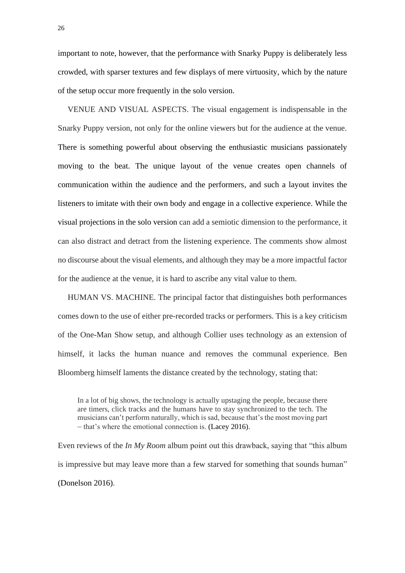important to note, however, that the performance with Snarky Puppy is deliberately less crowded, with sparser textures and few displays of mere virtuosity, which by the nature of the setup occur more frequently in the solo version.

VENUE AND VISUAL ASPECTS. The visual engagement is indispensable in the Snarky Puppy version, not only for the online viewers but for the audience at the venue. There is something powerful about observing the enthusiastic musicians passionately moving to the beat. The unique layout of the venue creates open channels of communication within the audience and the performers, and such a layout invites the listeners to imitate with their own body and engage in a collective experience. While the visual projections in the solo version can add a semiotic dimension to the performance, it can also distract and detract from the listening experience. The comments show almost no discourse about the visual elements, and although they may be a more impactful factor for the audience at the venue, it is hard to ascribe any vital value to them.

HUMAN VS. MACHINE. The principal factor that distinguishes both performances comes down to the use of either pre-recorded tracks or performers. This is a key criticism of the One-Man Show setup, and although Collier uses technology as an extension of himself, it lacks the human nuance and removes the communal experience. Ben Bloomberg himself laments the distance created by the technology, stating that:

In a lot of big shows, the technology is actually upstaging the people, because there are timers, click tracks and the humans have to stay synchronized to the tech. The musicians can't perform naturally, which is sad, because that's the most moving part – that's where the emotional connection is. (Lacey 2016).

Even reviews of the *In My Room* album point out this drawback, saying that "this album is impressive but may leave more than a few starved for something that sounds human" (Donelson 2016).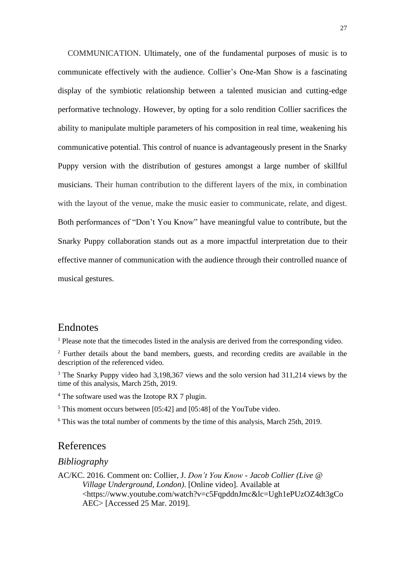COMMUNICATION. Ultimately, one of the fundamental purposes of music is to communicate effectively with the audience. Collier's One-Man Show is a fascinating display of the symbiotic relationship between a talented musician and cutting-edge performative technology. However, by opting for a solo rendition Collier sacrifices the ability to manipulate multiple parameters of his composition in real time, weakening his communicative potential. This control of nuance is advantageously present in the Snarky Puppy version with the distribution of gestures amongst a large number of skillful musicians. Their human contribution to the different layers of the mix, in combination with the layout of the venue, make the music easier to communicate, relate, and digest. Both performances of "Don't You Know" have meaningful value to contribute, but the Snarky Puppy collaboration stands out as a more impactful interpretation due to their effective manner of communication with the audience through their controlled nuance of musical gestures.

## **Endnotes**

<sup>1</sup> Please note that the timecodes listed in the analysis are derived from the corresponding video.

<sup>2</sup> Further details about the band members, guests, and recording credits are available in the description of the referenced video.

<sup>3</sup> The Snarky Puppy video had 3,198,367 views and the solo version had 311,214 views by the time of this analysis, March 25th, 2019.

<sup>4</sup> The software used was the Izotope RX 7 plugin.

<sup>5</sup> This moment occurs between [05:42] and [05:48] of the YouTube video.

 $6$  This was the total number of comments by the time of this analysis. March 25th, 2019.

## References

#### *Bibliography*

AC/KC. 2016. Comment on: Collier, J. *Don't You Know - Jacob Collier (Live @ Village Underground, London)*. [Online video]. Available at <https://www.youtube.com/watch?v=c5FqpddnJmc&lc=Ugh1ePUzOZ4dt3gCo AEC> [Accessed 25 Mar. 2019].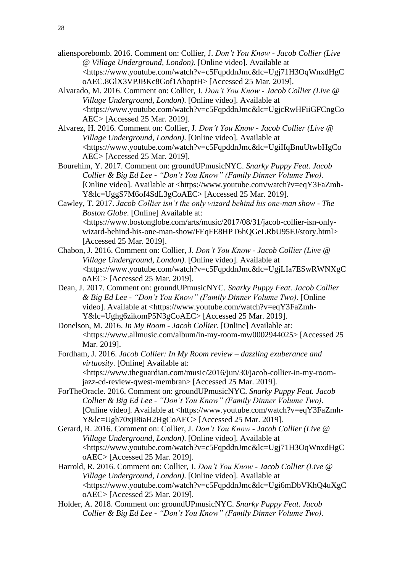- aliensporebomb. 2016. Comment on: Collier, J. *Don't You Know - Jacob Collier (Live @ Village Underground, London)*. [Online video]. Available at <https://www.youtube.com/watch?v=c5FqpddnJmc&lc=Ugj71H3OqWnxdHgC oAEC.8GlX3VPJBKc8Gof1AboptH> [Accessed 25 Mar. 2019].
- Alvarado, M. 2016. Comment on: Collier, J. *Don't You Know - Jacob Collier (Live @ Village Underground, London)*. [Online video]. Available at <https://www.youtube.com/watch?v=c5FqpddnJmc&lc=UgjcRwHFiiGFCngCo AEC> [Accessed 25 Mar. 2019].
- Alvarez, H. 2016. Comment on: Collier, J. *Don't You Know - Jacob Collier (Live @ Village Underground, London)*. [Online video]. Available at <https://www.youtube.com/watch?v=c5FqpddnJmc&lc=UgiIIqBnuUtwbHgCo AEC> [Accessed 25 Mar. 2019].
- Bourehim, Y. 2017. Comment on: groundUPmusicNYC. *Snarky Puppy Feat. Jacob Collier & Big Ed Lee - "Don't You Know" (Family Dinner Volume Two)*. [Online video]. Available at <https://www.youtube.com/watch?v=eqY3FaZmh-Y&lc=UggS7M6of4SdL3gCoAEC> [Accessed 25 Mar. 2019].
- Cawley, T. 2017. *Jacob Collier isn't the only wizard behind his one-man show - The Boston Globe*. [Online] Available at: <https://www.bostonglobe.com/arts/music/2017/08/31/jacob-collier-isn-onlywizard-behind-his-one-man-show/FEqFE8HPT6hQGeLRbU95FJ/story.html> [Accessed 25 Mar. 2019].
- Chabon, J. 2016. Comment on: Collier, J. *Don't You Know - Jacob Collier (Live @ Village Underground, London)*. [Online video]. Available at <https://www.youtube.com/watch?v=c5FqpddnJmc&lc=UgjLIa7ESwRWNXgC oAEC> [Accessed 25 Mar. 2019].
- Dean, J. 2017. Comment on: groundUPmusicNYC. *Snarky Puppy Feat. Jacob Collier & Big Ed Lee - "Don't You Know" (Family Dinner Volume Two)*. [Online video]. Available at <https://www.youtube.com/watch?v=eqY3FaZmh-Y&lc=Ughg6zikomP5N3gCoAEC> [Accessed 25 Mar. 2019].
- Donelson, M. 2016. *In My Room - Jacob Collier*. [Online] Available at: <https://www.allmusic.com/album/in-my-room-mw0002944025> [Accessed 25 Mar. 2019].
- Fordham, J. 2016. *Jacob Collier: In My Room review – dazzling exuberance and virtuosity*. [Online] Available at: <https://www.theguardian.com/music/2016/jun/30/jacob-collier-in-my-roomjazz-cd-review-qwest-membran> [Accessed 25 Mar. 2019].
- ForTheOracle. 2016. Comment on: groundUPmusicNYC. *Snarky Puppy Feat. Jacob Collier & Big Ed Lee - "Don't You Know" (Family Dinner Volume Two)*. [Online video]. Available at <https://www.youtube.com/watch?v=eqY3FaZmh-Y&lc=Ugh70xjI8iaH2HgCoAEC> [Accessed 25 Mar. 2019].
- Gerard, R. 2016. Comment on: Collier, J. *Don't You Know - Jacob Collier (Live @ Village Underground, London)*. [Online video]. Available at <https://www.youtube.com/watch?v=c5FqpddnJmc&lc=Ugj71H3OqWnxdHgC oAEC> [Accessed 25 Mar. 2019].
- Harrold, R. 2016. Comment on: Collier, J. *Don't You Know - Jacob Collier (Live @ Village Underground, London)*. [Online video]. Available at <https://www.youtube.com/watch?v=c5FqpddnJmc&lc=Ugi6mDbVKhQ4uXgC oAEC> [Accessed 25 Mar. 2019].
- Holder, A. 2018. Comment on: groundUPmusicNYC. *Snarky Puppy Feat. Jacob Collier & Big Ed Lee - "Don't You Know" (Family Dinner Volume Two)*.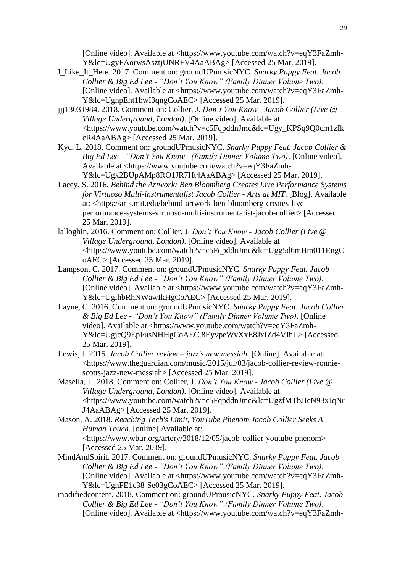[Online video]. Available at <https://www.youtube.com/watch?v=eqY3FaZmh-Y&lc=UgyFAorwsAsztjUNRFV4AaABAg> [Accessed 25 Mar. 2019].

- I\_Like\_It\_Here. 2017. Comment on: groundUPmusicNYC. *Snarky Puppy Feat. Jacob Collier & Big Ed Lee - "Don't You Know" (Family Dinner Volume Two)*. [Online video]. Available at <https://www.youtube.com/watch?v=eqY3FaZmh-Y&lc=UghpEnt1bwI3qngCoAEC> [Accessed 25 Mar. 2019].
- jjj13031984. 2018. Comment on: Collier, J. *Don't You Know - Jacob Collier (Live @ Village Underground, London)*. [Online video]. Available at <https://www.youtube.com/watch?v=c5FqpddnJmc&lc=Ugy\_KPSq9Q0cm1zIk cR4AaABAg> [Accessed 25 Mar. 2019].
- Kyd, L. 2018. Comment on: groundUPmusicNYC. *Snarky Puppy Feat. Jacob Collier & Big Ed Lee - "Don't You Know" (Family Dinner Volume Two)*. [Online video]. Available at <https://www.youtube.com/watch?v=eqY3FaZmh-Y&lc=Ugx2BUpAMp8RO1JR7Ht4AaABAg> [Accessed 25 Mar. 2019].
- Lacey, S. 2016. *Behind the Artwork: Ben Bloomberg Creates Live Performance Systems for Virtuoso Multi-instrumentalist Jacob Collier - Arts at MIT*. [Blog]. Available at: <https://arts.mit.edu/behind-artwork-ben-bloomberg-creates-liveperformance-systems-virtuoso-multi-instrumentalist-jacob-collier> [Accessed 25 Mar. 2019].
- lalloghin. 2016. Comment on: Collier, J. *Don't You Know - Jacob Collier (Live @ Village Underground, London)*. [Online video]. Available at <https://www.youtube.com/watch?v=c5FqpddnJmc&lc=Ugg5d6mHm011EngC oAEC> [Accessed 25 Mar. 2019].
- Lampson, C. 2017. Comment on: groundUPmusicNYC. *Snarky Puppy Feat. Jacob Collier & Big Ed Lee - "Don't You Know" (Family Dinner Volume Two)*. [Online video]. Available at <https://www.youtube.com/watch?v=eqY3FaZmh-Y&lc=UgihbRhNWawIkHgCoAEC> [Accessed 25 Mar. 2019].
- Layne, C. 2016. Comment on: groundUPmusicNYC. *Snarky Puppy Feat. Jacob Collier & Big Ed Lee - "Don't You Know" (Family Dinner Volume Two)*. [Online video]. Available at <https://www.youtube.com/watch?v=eqY3FaZmh-Y&lc=UgjcQ9EpFusNHHgCoAEC.8EyvpeWvXxE8JxIZd4VIhL> [Accessed 25 Mar. 2019].
- Lewis, J. 2015. *Jacob Collier review – jazz's new messiah*. [Online]. Available at: <https://www.theguardian.com/music/2015/jul/03/jacob-collier-review-ronniescotts-jazz-new-messiah> [Accessed 25 Mar. 2019].
- Masella, L. 2018. Comment on: Collier, J. *Don't You Know - Jacob Collier (Live @ Village Underground, London)*. [Online video]. Available at <https://www.youtube.com/watch?v=c5FqpddnJmc&lc=UgzfMTbJIcN93xJqNr J4AaABAg> [Accessed 25 Mar. 2019].
- Mason, A. 2018. *Reaching Tech's Limit, YouTube Phenom Jacob Collier Seeks A Human Touch*. [online] Available at: <https://www.wbur.org/artery/2018/12/05/jacob-collier-youtube-phenom> [Accessed 25 Mar. 2019].
- MindAndSpirit. 2017. Comment on: groundUPmusicNYC. *Snarky Puppy Feat. Jacob Collier & Big Ed Lee - "Don't You Know" (Family Dinner Volume Two)*. [Online video]. Available at <https://www.youtube.com/watch?v=eqY3FaZmh-Y&lc=UghFE1c38-Se03gCoAEC> [Accessed 25 Mar. 2019].
- modifiedcontent. 2018. Comment on: groundUPmusicNYC. *Snarky Puppy Feat. Jacob Collier & Big Ed Lee - "Don't You Know" (Family Dinner Volume Two)*. [Online video]. Available at <https://www.youtube.com/watch?v=eqY3FaZmh-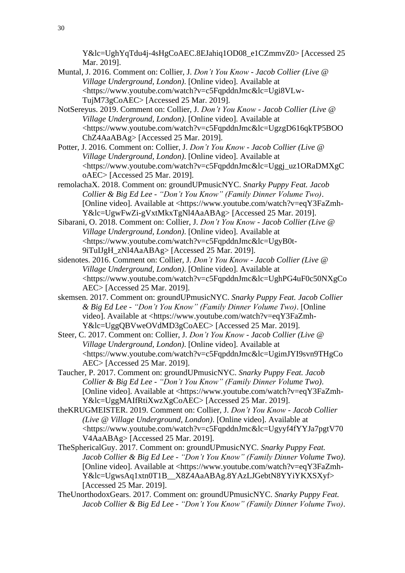Y&lc=UghYqTdu4j-4sHgCoAEC.8EJahiq1OD08\_e1CZmmvZ0> [Accessed 25 Mar. 2019].

Muntal, J. 2016. Comment on: Collier, J. *Don't You Know - Jacob Collier (Live @ Village Underground, London)*. [Online video]. Available at <https://www.youtube.com/watch?v=c5FqpddnJmc&lc=Ugi8VLw-TujM73gCoAEC> [Accessed 25 Mar. 2019].

NotSereyus. 2019. Comment on: Collier, J. *Don't You Know - Jacob Collier (Live @ Village Underground, London)*. [Online video]. Available at <https://www.youtube.com/watch?v=c5FqpddnJmc&lc=UgzgD616qkTP5BOO ChZ4AaABAg> [Accessed 25 Mar. 2019].

Potter, J. 2016. Comment on: Collier, J. *Don't You Know - Jacob Collier (Live @ Village Underground, London)*. [Online video]. Available at <https://www.youtube.com/watch?v=c5FqpddnJmc&lc=Uggj\_uz1ORaDMXgC oAEC> [Accessed 25 Mar. 2019].

remolachaX. 2018. Comment on: groundUPmusicNYC. *Snarky Puppy Feat. Jacob Collier & Big Ed Lee - "Don't You Know" (Family Dinner Volume Two)*. [Online video]. Available at <https://www.youtube.com/watch?v=eqY3FaZmh-Y&lc=UgwFwZi-gVxtMkxTgNl4AaABAg> [Accessed 25 Mar. 2019].

Sibarani, O. 2018. Comment on: Collier, J. *Don't You Know - Jacob Collier (Live @ Village Underground, London)*. [Online video]. Available at <https://www.youtube.com/watch?v=c5FqpddnJmc&lc=UgyB0t-9iTuIJgH\_zNl4AaABAg> [Accessed 25 Mar. 2019].

sidenotes. 2016. Comment on: Collier, J. *Don't You Know - Jacob Collier (Live @ Village Underground, London)*. [Online video]. Available at <https://www.youtube.com/watch?v=c5FqpddnJmc&lc=UghPG4uF0c50NXgCo AEC> [Accessed 25 Mar. 2019].

skemsen. 2017. Comment on: groundUPmusicNYC. *Snarky Puppy Feat. Jacob Collier & Big Ed Lee - "Don't You Know" (Family Dinner Volume Two)*. [Online video]. Available at <https://www.youtube.com/watch?v=eqY3FaZmh-Y&lc=UggQBVweOVdMD3gCoAEC> [Accessed 25 Mar. 2019].

Steer, C. 2017. Comment on: Collier, J. *Don't You Know - Jacob Collier (Live @ Village Underground, London)*. [Online video]. Available at <https://www.youtube.com/watch?v=c5FqpddnJmc&lc=UgimJYI9svn9THgCo AEC> [Accessed 25 Mar. 2019].

Taucher, P. 2017. Comment on: groundUPmusicNYC. *Snarky Puppy Feat. Jacob Collier & Big Ed Lee - "Don't You Know" (Family Dinner Volume Two)*. [Online video]. Available at <https://www.youtube.com/watch?v=eqY3FaZmh-Y&lc=UggMAIfRtiXwzXgCoAEC> [Accessed 25 Mar. 2019].

theKRUGMEISTER. 2019. Comment on: Collier, J. *Don't You Know - Jacob Collier (Live @ Village Underground, London)*. [Online video]. Available at <https://www.youtube.com/watch?v=c5FqpddnJmc&lc=Ugyyf4fYYJa7pgtV70 V4AaABAg> [Accessed 25 Mar. 2019].

- TheSphericalGuy. 2017. Comment on: groundUPmusicNYC. *Snarky Puppy Feat. Jacob Collier & Big Ed Lee - "Don't You Know" (Family Dinner Volume Two)*. [Online video]. Available at <https://www.youtube.com/watch?v=eqY3FaZmh-Y&lc=UgwsAq1xtn0T1B\_\_X8Z4AaABAg.8YAzLJGebtN8YYiYKXSXyf> [Accessed 25 Mar. 2019].
- TheUnorthodoxGears. 2017. Comment on: groundUPmusicNYC. *Snarky Puppy Feat. Jacob Collier & Big Ed Lee - "Don't You Know" (Family Dinner Volume Two)*.